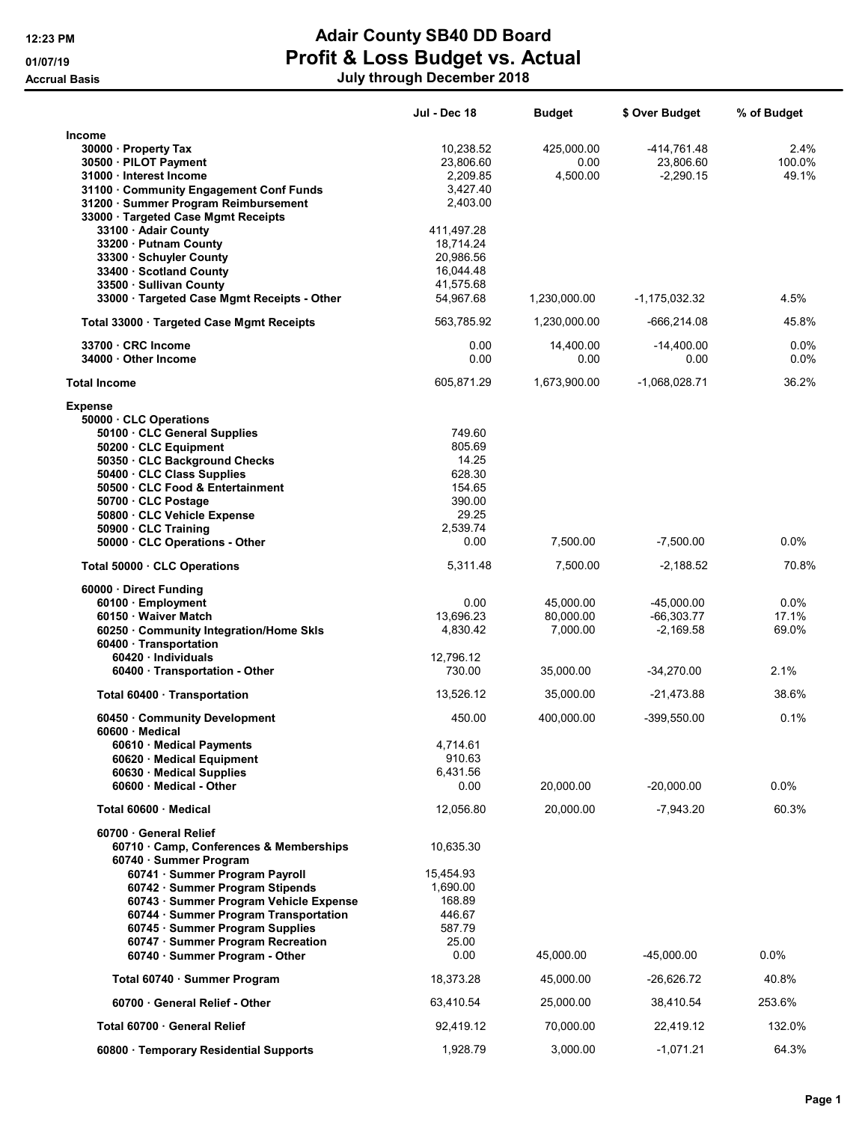## 12:23 PM **Adair County SB40 DD Board** 01/07/19 **Profit & Loss Budget vs. Actual** Accrual Basis July through December 2018

|                                                                                                                                                                                                                                                                | Jul - Dec 18                                                             | <b>Budget</b>                      | \$ Over Budget                              | % of Budget               |
|----------------------------------------------------------------------------------------------------------------------------------------------------------------------------------------------------------------------------------------------------------------|--------------------------------------------------------------------------|------------------------------------|---------------------------------------------|---------------------------|
| <b>Income</b><br>30000 · Property Tax<br>30500 · PILOT Payment<br>31000 · Interest Income<br>31100 Community Engagement Conf Funds<br>31200 · Summer Program Reimbursement<br>33000 · Targeted Case Mgmt Receipts<br>33100 · Adair County                      | 10,238.52<br>23,806.60<br>2,209.85<br>3,427.40<br>2,403.00<br>411,497.28 | 425,000.00<br>0.00<br>4,500.00     | -414,761.48<br>23,806.60<br>$-2,290.15$     | 2.4%<br>100.0%<br>49.1%   |
| 33200 Putnam County<br>33300 Schuyler County<br>33400 Scotland County<br>33500 · Sullivan County<br>33000 Targeted Case Mgmt Receipts - Other                                                                                                                  | 18,714.24<br>20,986.56<br>16,044.48<br>41.575.68<br>54,967.68            | 1,230,000.00                       | -1,175,032.32                               | 4.5%                      |
| Total 33000 · Targeted Case Mgmt Receipts                                                                                                                                                                                                                      | 563,785.92                                                               | 1,230,000.00                       | -666,214.08                                 | 45.8%                     |
| 33700 CRC Income<br>34000 Other Income                                                                                                                                                                                                                         | 0.00<br>0.00                                                             | 14,400.00<br>0.00                  | $-14,400.00$<br>0.00                        | $0.0\%$<br>0.0%           |
| <b>Total Income</b>                                                                                                                                                                                                                                            | 605,871.29                                                               | 1,673,900.00                       | $-1,068,028.71$                             | 36.2%                     |
| <b>Expense</b><br>50000 CLC Operations<br>50100 · CLC General Supplies<br>50200 CLC Equipment<br>50350 · CLC Background Checks<br>50400 · CLC Class Supplies<br>50500 CLC Food & Entertainment<br>50700 CLC Postage<br>50800 · CLC Vehicle Expense             | 749.60<br>805.69<br>14.25<br>628.30<br>154.65<br>390.00<br>29.25         |                                    |                                             |                           |
| 50900 · CLC Training<br>50000 CLC Operations - Other                                                                                                                                                                                                           | 2,539.74<br>0.00                                                         | 7,500.00                           | $-7,500.00$                                 | $0.0\%$                   |
| Total 50000 CLC Operations                                                                                                                                                                                                                                     | 5,311.48                                                                 | 7,500.00                           | $-2,188.52$                                 | 70.8%                     |
| 60000 · Direct Funding<br>60100 · Employment<br>60150 · Waiver Match<br>60250 Community Integration/Home Skls<br>60400 · Transportation                                                                                                                        | 0.00<br>13,696.23<br>4,830.42                                            | 45,000.00<br>80,000.00<br>7,000.00 | $-45,000.00$<br>$-66,303.77$<br>$-2,169.58$ | $0.0\%$<br>17.1%<br>69.0% |
| 60420 · Individuals                                                                                                                                                                                                                                            | 12,796.12<br>730.00                                                      | 35,000.00                          | $-34,270.00$                                | 2.1%                      |
| 60400 · Transportation - Other                                                                                                                                                                                                                                 |                                                                          |                                    |                                             |                           |
| Total 60400 · Transportation                                                                                                                                                                                                                                   | 13,526.12                                                                | 35,000.00                          | $-21,473.88$                                | 38.6%                     |
| 60450 Community Development<br>60600 · Medical<br>60610 · Medical Payments<br>60620 · Medical Equipment<br>60630 Medical Supplies<br>60600 Medical - Other                                                                                                     | 450.00<br>4,714.61<br>910.63<br>6,431.56<br>0.00                         | 400,000.00<br>20,000.00            | $-399,550.00$<br>$-20,000.00$               | 0.1%<br>$0.0\%$           |
| Total 60600 · Medical                                                                                                                                                                                                                                          | 12,056.80                                                                | 20,000.00                          | $-7,943.20$                                 | 60.3%                     |
| 60700 General Relief<br>60710 Camp, Conferences & Memberships<br>60740 · Summer Program                                                                                                                                                                        | 10,635.30                                                                |                                    |                                             |                           |
| 60741 · Summer Program Payroll<br>60742 · Summer Program Stipends<br>60743 · Summer Program Vehicle Expense<br>60744 · Summer Program Transportation<br>60745 · Summer Program Supplies<br>60747 · Summer Program Recreation<br>60740 · Summer Program - Other | 15,454.93<br>1,690.00<br>168.89<br>446.67<br>587.79<br>25.00<br>0.00     | 45,000.00                          | $-45,000.00$                                | $0.0\%$                   |
| Total 60740 · Summer Program                                                                                                                                                                                                                                   | 18,373.28                                                                | 45,000.00                          | -26,626.72                                  | 40.8%                     |
| 60700 General Relief - Other                                                                                                                                                                                                                                   | 63,410.54                                                                | 25,000.00                          | 38,410.54                                   | 253.6%                    |
| Total 60700 · General Relief                                                                                                                                                                                                                                   | 92,419.12                                                                | 70,000.00                          | 22,419.12                                   | 132.0%                    |
| 60800 · Temporary Residential Supports                                                                                                                                                                                                                         | 1,928.79                                                                 | 3,000.00                           | $-1,071.21$                                 | 64.3%                     |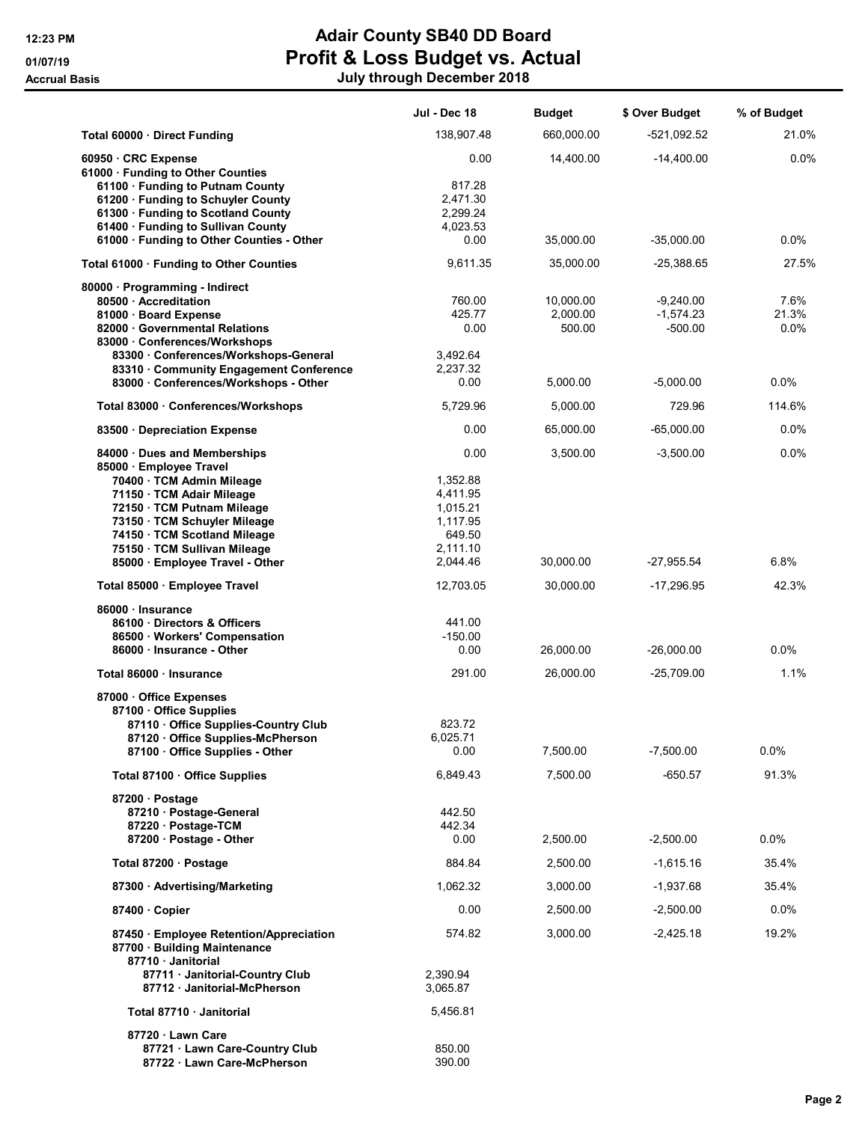## 12:23 PM **Adair County SB40 DD Board** 01/07/19 **Profit & Loss Budget vs. Actual** Accrual Basis July through December 2018

|                                                                                                                                                                                                                         | Jul - Dec 18                                                                   | <b>Budget</b>                   | \$ Over Budget                          | % of Budget           |
|-------------------------------------------------------------------------------------------------------------------------------------------------------------------------------------------------------------------------|--------------------------------------------------------------------------------|---------------------------------|-----------------------------------------|-----------------------|
| Total 60000 Direct Funding                                                                                                                                                                                              | 138,907.48                                                                     | 660,000.00                      | $-521,092.52$                           | 21.0%                 |
| 60950 · CRC Expense<br>61000 · Funding to Other Counties                                                                                                                                                                | 0.00                                                                           | 14,400.00                       | $-14,400.00$                            | 0.0%                  |
| 61100 · Funding to Putnam County<br>61200 · Funding to Schuyler County<br>61300 · Funding to Scotland County<br>61400 Funding to Sullivan County<br>61000 · Funding to Other Counties - Other                           | 817.28<br>2,471.30<br>2,299.24<br>4,023.53<br>0.00                             | 35,000.00                       | $-35,000.00$                            | $0.0\%$               |
| Total 61000 · Funding to Other Counties                                                                                                                                                                                 | 9,611.35                                                                       | 35,000.00                       | $-25,388.65$                            | 27.5%                 |
| 80000 · Programming - Indirect<br>80500 Accreditation<br>81000 Board Expense<br>82000 Governmental Relations<br>83000 Conferences/Workshops                                                                             | 760.00<br>425.77<br>0.00                                                       | 10.000.00<br>2,000.00<br>500.00 | $-9.240.00$<br>$-1,574.23$<br>$-500.00$ | 7.6%<br>21.3%<br>0.0% |
| 83300 Conferences/Workshops-General<br>83310 Community Engagement Conference<br>83000 · Conferences/Workshops - Other                                                                                                   | 3,492.64<br>2,237.32<br>0.00                                                   | 5,000.00                        | $-5,000.00$                             | $0.0\%$               |
| Total 83000 · Conferences/Workshops                                                                                                                                                                                     | 5,729.96                                                                       | 5,000.00                        | 729.96                                  | 114.6%                |
| 83500 Depreciation Expense                                                                                                                                                                                              | 0.00                                                                           | 65.000.00                       | $-65,000.00$                            | 0.0%                  |
| 84000 Dues and Memberships<br>85000 · Employee Travel                                                                                                                                                                   | 0.00                                                                           | 3.500.00                        | $-3,500.00$                             | 0.0%                  |
| 70400 · TCM Admin Mileage<br>71150 · TCM Adair Mileage<br>72150 · TCM Putnam Mileage<br>73150 · TCM Schuyler Mileage<br>74150 · TCM Scotland Mileage<br>75150 · TCM Sullivan Mileage<br>85000 · Employee Travel - Other | 1,352.88<br>4,411.95<br>1,015.21<br>1,117.95<br>649.50<br>2,111.10<br>2,044.46 | 30,000.00                       | $-27,955.54$                            | $6.8\%$               |
| Total 85000 · Employee Travel                                                                                                                                                                                           | 12,703.05                                                                      | 30,000.00                       | $-17,296.95$                            | 42.3%                 |
| 86000 · Insurance<br>86100 Directors & Officers<br>86500 · Workers' Compensation<br>86000 · Insurance - Other                                                                                                           | 441.00<br>$-150.00$<br>0.00                                                    | 26,000.00                       | $-26,000.00$                            | $0.0\%$               |
| Total 86000 · Insurance                                                                                                                                                                                                 | 291.00                                                                         | 26,000.00                       | $-25,709.00$                            | 1.1%                  |
| 87000 Office Expenses<br>87100 Office Supplies<br>87110 Office Supplies-Country Club<br>87120 · Office Supplies-McPherson<br>87100 · Office Supplies - Other                                                            | 823.72<br>6,025.71<br>0.00                                                     | 7,500.00                        | $-7,500.00$                             | $0.0\%$               |
| Total 87100 · Office Supplies                                                                                                                                                                                           | 6,849.43                                                                       | 7,500.00                        | $-650.57$                               | 91.3%                 |
| 87200 · Postage<br>87210 · Postage-General<br>87220 · Postage-TCM<br>87200 · Postage - Other                                                                                                                            | 442.50<br>442.34<br>0.00                                                       | 2,500.00                        | $-2,500.00$                             | 0.0%                  |
| Total 87200 · Postage                                                                                                                                                                                                   | 884.84                                                                         | 2,500.00                        | $-1,615.16$                             | 35.4%                 |
| 87300 Advertising/Marketing                                                                                                                                                                                             | 1,062.32                                                                       | 3,000.00                        | -1,937.68                               | 35.4%                 |
| 87400 Copier                                                                                                                                                                                                            | 0.00                                                                           | 2,500.00                        | $-2,500.00$                             | $0.0\%$               |
| 87450 · Employee Retention/Appreciation<br>87700 · Building Maintenance<br>87710 · Janitorial<br>87711 · Janitorial-Country Club                                                                                        | 574.82<br>2,390.94                                                             | 3,000.00                        | $-2,425.18$                             | 19.2%                 |
| 87712 Janitorial-McPherson                                                                                                                                                                                              | 3,065.87                                                                       |                                 |                                         |                       |
| Total 87710 · Janitorial                                                                                                                                                                                                | 5,456.81                                                                       |                                 |                                         |                       |
| 87720 · Lawn Care<br>87721 · Lawn Care-Country Club<br>87722 · Lawn Care-McPherson                                                                                                                                      | 850.00<br>390.00                                                               |                                 |                                         |                       |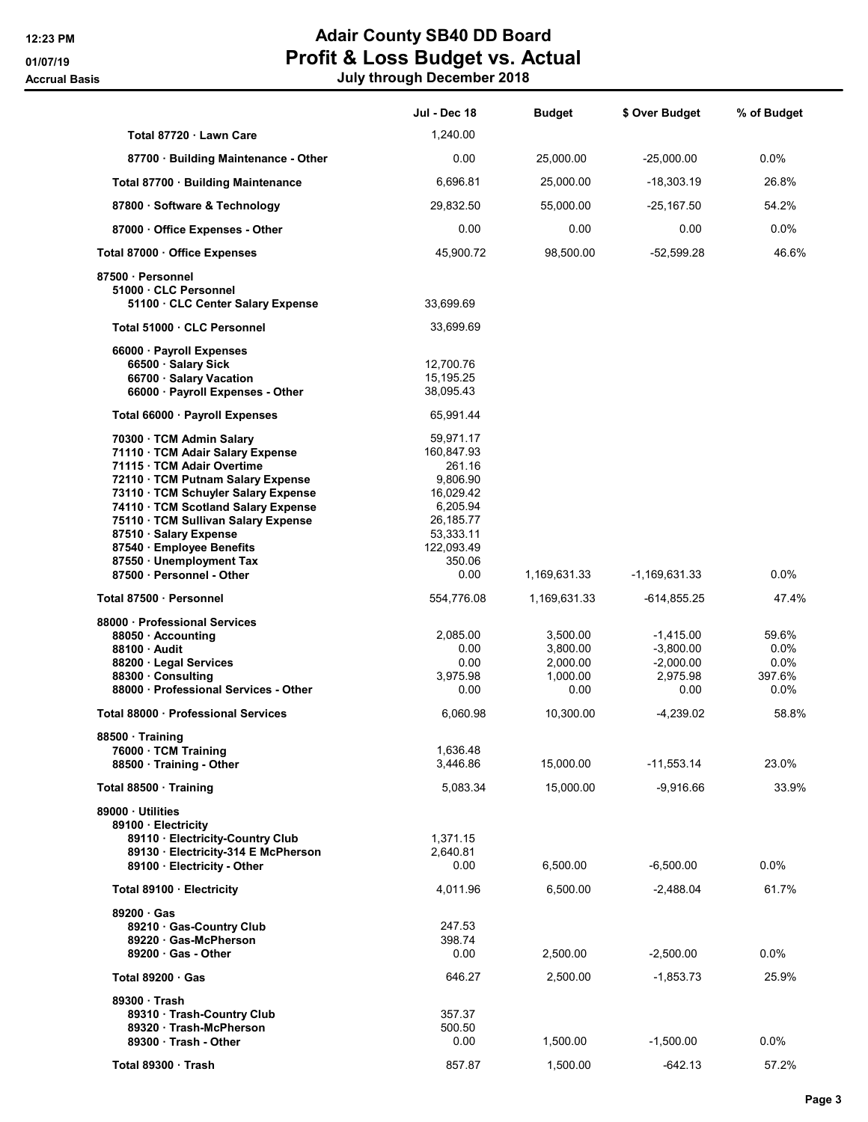## 12:23 PM **Adair County SB40 DD Board** 01/07/19 **Profit & Loss Budget vs. Actual** Accrual Basis July through December 2018

|                                                                                                                                                                                                                                                                                                             | Jul - Dec 18                                                                                                   | <b>Budget</b>                                        | \$ Over Budget                                                | % of Budget                                      |
|-------------------------------------------------------------------------------------------------------------------------------------------------------------------------------------------------------------------------------------------------------------------------------------------------------------|----------------------------------------------------------------------------------------------------------------|------------------------------------------------------|---------------------------------------------------------------|--------------------------------------------------|
| Total 87720 Lawn Care                                                                                                                                                                                                                                                                                       | 1,240.00                                                                                                       |                                                      |                                                               |                                                  |
| 87700 · Building Maintenance - Other                                                                                                                                                                                                                                                                        | 0.00                                                                                                           | 25,000.00                                            | $-25,000.00$                                                  | $0.0\%$                                          |
| Total 87700 · Building Maintenance                                                                                                                                                                                                                                                                          | 6,696.81                                                                                                       | 25,000.00                                            | $-18,303.19$                                                  | 26.8%                                            |
| 87800 · Software & Technology                                                                                                                                                                                                                                                                               | 29,832.50                                                                                                      | 55,000.00                                            | $-25,167.50$                                                  | 54.2%                                            |
| 87000 Office Expenses - Other                                                                                                                                                                                                                                                                               | 0.00                                                                                                           | 0.00                                                 | 0.00                                                          | 0.0%                                             |
| Total 87000 · Office Expenses                                                                                                                                                                                                                                                                               | 45,900.72                                                                                                      | 98,500.00                                            | $-52,599.28$                                                  | 46.6%                                            |
| 87500 Personnel<br>51000 CLC Personnel<br>51100 · CLC Center Salary Expense                                                                                                                                                                                                                                 | 33,699.69                                                                                                      |                                                      |                                                               |                                                  |
| Total 51000 · CLC Personnel                                                                                                                                                                                                                                                                                 | 33,699.69                                                                                                      |                                                      |                                                               |                                                  |
| 66000 · Payroll Expenses<br>66500 · Salary Sick<br>66700 · Salary Vacation<br>66000 · Payroll Expenses - Other                                                                                                                                                                                              | 12,700.76<br>15,195.25<br>38,095.43                                                                            |                                                      |                                                               |                                                  |
| Total 66000 · Payroll Expenses                                                                                                                                                                                                                                                                              | 65,991.44                                                                                                      |                                                      |                                                               |                                                  |
| 70300 · TCM Admin Salary<br>71110 · TCM Adair Salary Expense<br>71115 · TCM Adair Overtime<br>72110 · TCM Putnam Salary Expense<br>73110 · TCM Schuyler Salary Expense<br>74110 · TCM Scotland Salary Expense<br>75110 · TCM Sullivan Salary Expense<br>87510 · Salary Expense<br>87540 · Employee Benefits | 59,971.17<br>160,847.93<br>261.16<br>9,806.90<br>16,029.42<br>6,205.94<br>26,185.77<br>53,333.11<br>122,093.49 |                                                      |                                                               |                                                  |
| 87550 · Unemployment Tax<br>87500 Personnel - Other                                                                                                                                                                                                                                                         | 350.06<br>0.00                                                                                                 | 1,169,631.33                                         | $-1,169,631.33$                                               | $0.0\%$                                          |
| Total 87500 · Personnel                                                                                                                                                                                                                                                                                     | 554,776.08                                                                                                     | 1,169,631.33                                         | -614,855.25                                                   | 47.4%                                            |
| 88000 Professional Services<br>88050 · Accounting<br>88100 Audit<br>88200 · Legal Services<br>88300 · Consulting<br>88000 · Professional Services - Other                                                                                                                                                   | 2,085.00<br>0.00<br>0.00<br>3,975.98<br>0.00                                                                   | 3,500.00<br>3,800.00<br>2,000.00<br>1,000.00<br>0.00 | $-1,415.00$<br>$-3,800.00$<br>$-2,000.00$<br>2,975.98<br>0.00 | 59.6%<br>$0.0\%$<br>$0.0\%$<br>397.6%<br>$0.0\%$ |
| Total 88000 · Professional Services                                                                                                                                                                                                                                                                         | 6,060.98                                                                                                       | 10,300.00                                            | $-4,239.02$                                                   | 58.8%                                            |
| 88500 · Training<br>76000 · TCM Training<br>88500 Training - Other                                                                                                                                                                                                                                          | 1,636.48<br>3,446.86                                                                                           | 15,000.00                                            | $-11,553.14$                                                  | 23.0%                                            |
| Total 88500 · Training                                                                                                                                                                                                                                                                                      | 5,083.34                                                                                                       | 15,000.00                                            | $-9,916.66$                                                   | 33.9%                                            |
| 89000 Utilities<br>89100 · Electricity<br>89110 · Electricity-Country Club<br>89130 · Electricity-314 E McPherson<br>89100 · Electricity - Other                                                                                                                                                            | 1,371.15<br>2,640.81<br>0.00                                                                                   | 6,500.00                                             | $-6,500.00$                                                   | $0.0\%$                                          |
| Total 89100 Electricity                                                                                                                                                                                                                                                                                     | 4,011.96                                                                                                       | 6,500.00                                             | $-2,488.04$                                                   | 61.7%                                            |
| 89200 · Gas<br>89210 Gas-Country Club<br>89220 Gas-McPherson<br>$89200 \cdot Gas$ - Other                                                                                                                                                                                                                   | 247.53<br>398.74<br>0.00                                                                                       | 2,500.00                                             | $-2,500.00$                                                   | $0.0\%$                                          |
| Total 89200 Gas                                                                                                                                                                                                                                                                                             | 646.27                                                                                                         | 2,500.00                                             | $-1,853.73$                                                   | 25.9%                                            |
| 89300 Trash<br>89310 · Trash-Country Club<br>89320 Trash-McPherson<br>89300 Trash - Other                                                                                                                                                                                                                   | 357.37<br>500.50<br>0.00                                                                                       | 1,500.00                                             | $-1,500.00$                                                   | $0.0\%$                                          |
| Total 89300 Trash                                                                                                                                                                                                                                                                                           | 857.87                                                                                                         | 1,500.00                                             | -642.13                                                       | 57.2%                                            |